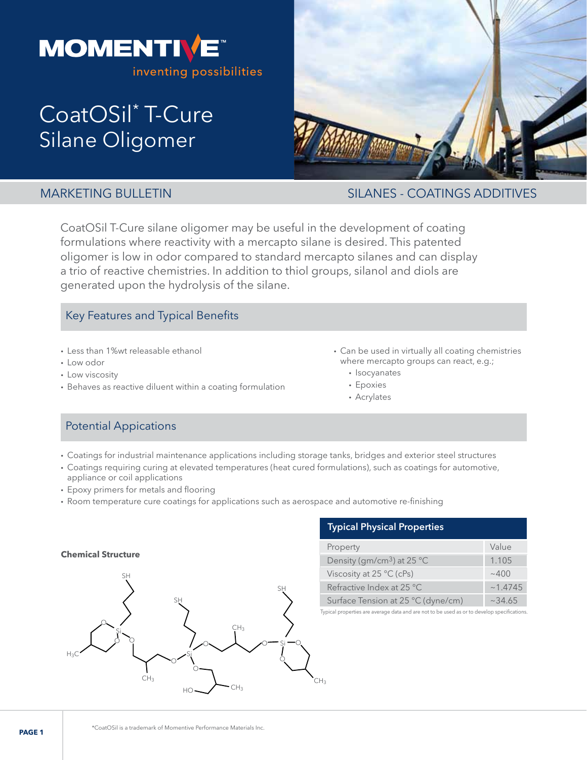

# CoatOSil<sup>\*</sup> T-Cure Silane Oligomer



MARKETING BULLETIN SILANES - COATINGS ADDITIVES

CoatOSil T-Cure silane oligomer may be useful in the development of coating formulations where reactivity with a mercapto silane is desired. This patented oligomer is low in odor compared to standard mercapto silanes and can display a trio of reactive chemistries. In addition to thiol groups, silanol and diols are generated upon the hydrolysis of the silane.

# Key Features and Typical Benefits

- Less than 1%wt releasable ethanol
- Low odor
- Low viscosity
- Behaves as reactive diluent within a coating formulation
- Can be used in virtually all coating chemistries where mercapto groups can react, e.g.;
	- Isocyanates
	- Epoxies
	- Acrylates

# Potential Appications

- Coatings for industrial maintenance applications including storage tanks, bridges and exterior steel structures
- Coatings requiring curing at elevated temperatures (heat cured formulations), such as coatings for automotive,
- appliance or coil applications • Epoxy primers for metals and flooring
- Room temperature cure coatings for applications such as aerospace and automotive re-finishing



# **Typical Physical Properties**

| Property                               | Value   |
|----------------------------------------|---------|
| Density (gm/cm <sup>3</sup> ) at 25 °C | 1.105   |
| Viscosity at $25 \degree C$ (cPs)      | ~100    |
| Refractive Index at 25 °C              | ~1.4745 |
| Surface Tension at 25 °C (dyne/cm)     | ~234.65 |

Typical properties are average data and are not to be used as or to develop specifications.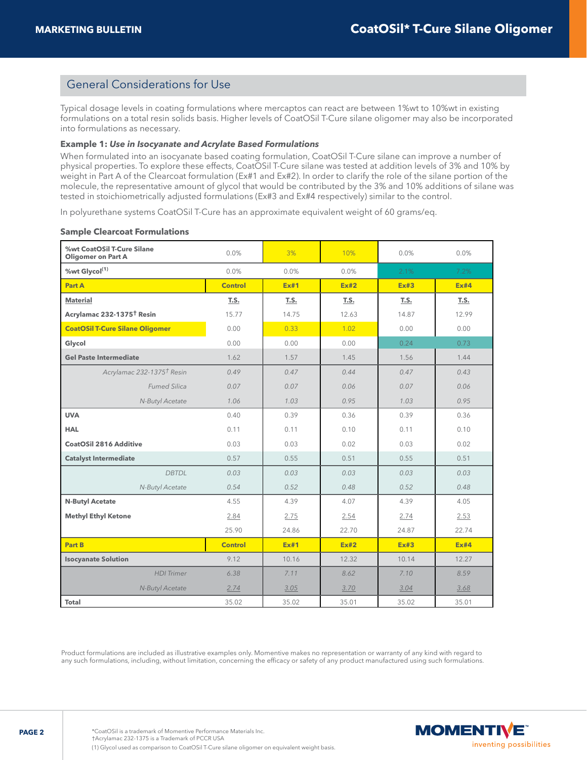# General Considerations for Use

Typical dosage levels in coating formulations where mercaptos can react are between 1%wt to 10%wt in existing formulations on a total resin solids basis. Higher levels of CoatOSil T-Cure silane oligomer may also be incorporated into formulations as necessary.

#### **Example 1:** *Use in Isocyanate and Acrylate Based Formulations*

When formulated into an isocyanate based coating formulation, CoatOSil T-Cure silane can improve a number of physical properties. To explore these effects, CoatOSil T-Cure silane was tested at addition levels of 3% and 10% by weight in Part A of the Clearcoat formulation (Ex#1 and Ex#2). In order to clarify the role of the silane portion of the molecule, the representative amount of glycol that would be contributed by the 3% and 10% additions of silane was tested in stoichiometrically adjusted formulations (Ex#3 and Ex#4 respectively) similar to the control.

In polyurethane systems CoatOSil T-Cure has an approximate equivalent weight of 60 grams/eq.

#### **Sample Clearcoat Formulations**

| %wt CoatOSil T-Cure Silane<br><b>Oligomer on Part A</b> | 0.0%           | 3%          | 10%         | 0.0%        | 0.0%  |
|---------------------------------------------------------|----------------|-------------|-------------|-------------|-------|
| %wt Glycol <sup>(1)</sup>                               | 0.0%           | 0.0%        | 0.0%        | 2.1%        | 7.2%  |
| Part A                                                  | <b>Control</b> | Ex#1        | Ex#2        | Ex#3        | Ex#4  |
| <b>Material</b>                                         | T.S.           | T.S.        | T.S.        | T.S.        | T.S.  |
| Acrylamac 232-1375 <sup>†</sup> Resin                   | 15.77          | 14.75       | 12.63       | 14.87       | 12.99 |
| <b>CoatOSil T-Cure Silane Oligomer</b>                  | 0.00           | 0.33        | 1.02        | 0.00        | 0.00  |
| Glycol                                                  | 0.00           | 0.00        | 0.00        | 0.24        | 0.73  |
| <b>Gel Paste Intermediate</b>                           | 1.62           | 1.57        | 1.45        | 1.56        | 1.44  |
| Acrylamac 232-1375 <sup>†</sup> Resin                   | 0.49           | 0.47        | 0.44        | 0.47        | 0.43  |
| <b>Fumed Silica</b>                                     | 0.07           | 0.07        | 0.06        | 0.07        | 0.06  |
| N-Butyl Acetate                                         | 1.06           | 1.03        | 0.95        | 1.03        | 0.95  |
| <b>UVA</b>                                              | 0.40           | 0.39        | 0.36        | 0.39        | 0.36  |
| <b>HAL</b>                                              | 0.11           | 0.11        | 0.10        | 0.11        | 0.10  |
| <b>CoatOSil 2816 Additive</b>                           | 0.03           | 0.03        | 0.02        | 0.03        | 0.02  |
| <b>Catalyst Intermediate</b>                            | 0.57           | 0.55        | 0.51        | 0.55        | 0.51  |
| <b>DBTDL</b>                                            | 0.03           | 0.03        | 0.03        | 0.03        | 0.03  |
| N-Butyl Acetate                                         | 0.54           | 0.52        | 0.48        | 0.52        | 0.48  |
| <b>N-Butyl Acetate</b>                                  | 4.55           | 4.39        | 4.07        | 4.39        | 4.05  |
| <b>Methyl Ethyl Ketone</b>                              | 2.84           | 2.75        | 2.54        | 2.74        | 2.53  |
|                                                         | 25.90          | 24.86       | 22.70       | 24.87       | 22.74 |
| <b>Part B</b>                                           | <b>Control</b> | <b>Ex#1</b> | <b>Ex#2</b> | <b>Ex#3</b> | Ex#4  |
| <b>Isocyanate Solution</b>                              | 9.12           | 10.16       | 12.32       | 10.14       | 12.27 |
| <b>HDI</b> Trimer                                       | 6.38           | 7.11        | 8.62        | 7.10        | 8.59  |
| N-Butyl Acetate                                         | 2.74           | 3.05        | 3.70        | 3.04        | 3.68  |
| <b>Total</b>                                            | 35.02          | 35.02       | 35.01       | 35.02       | 35.01 |

Product formulations are included as illustrative examples only. Momentive makes no representation or warranty of any kind with regard to any such formulations, including, without limitation, concerning the efficacy or safety of any product manufactured using such formulations.

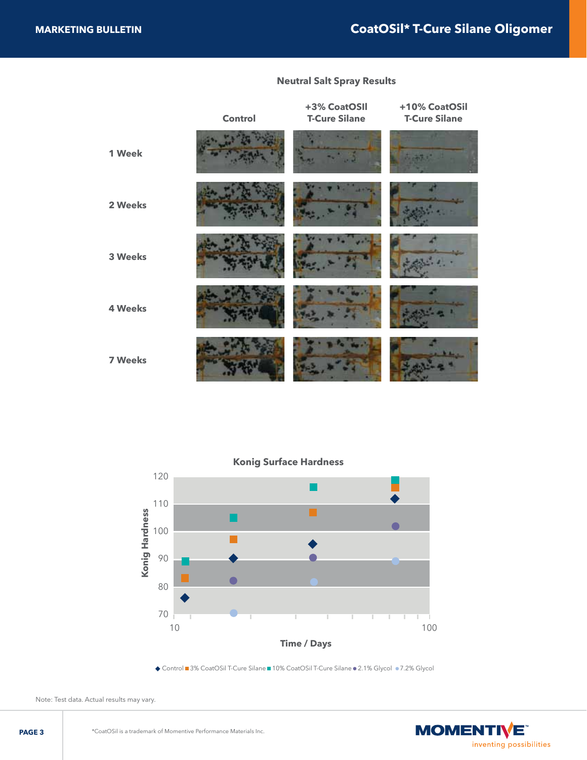# **Neutral Salt Spray Results**

|                | Control | +3% CoatOSII<br><b>T-Cure Silane</b> | +10% CoatOSil<br><b>T-Cure Silane</b> |
|----------------|---------|--------------------------------------|---------------------------------------|
| 1 Week         |         |                                      |                                       |
| 2 Weeks        |         |                                      |                                       |
| 3 Weeks        |         |                                      |                                       |
| <b>4 Weeks</b> |         |                                      |                                       |
| <b>7 Weeks</b> |         |                                      |                                       |



◆ Control ■ 3% CoatOSil T-Cure Silane ■ 10% CoatOSil T-Cure Silane ● 2.1% Glycol ● 7.2% Glycol

Note: Test data. Actual results may vary.

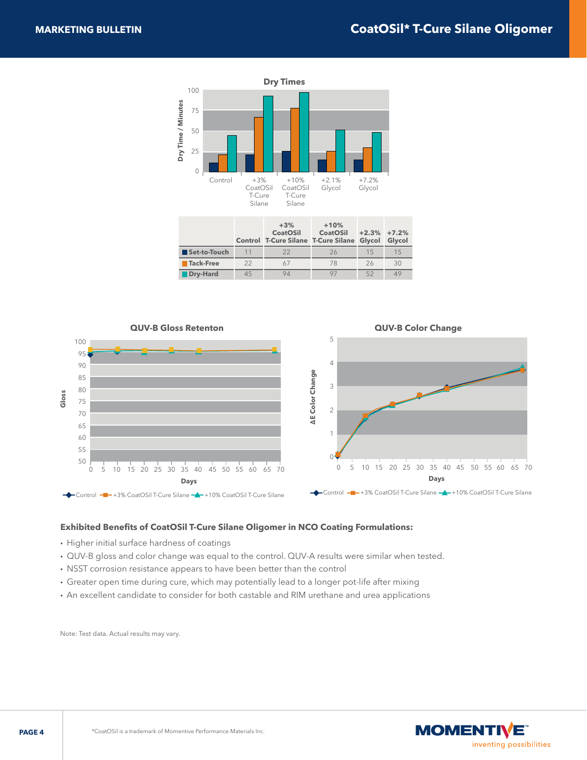

|              |    | .<br><b>CoatOSil</b><br>Control T-Cure Silane T-Cure Silane Glycol Glycol | .<br><b>CoatOSil</b> | $+2.3\% +7.2\%$ |     |
|--------------|----|---------------------------------------------------------------------------|----------------------|-----------------|-----|
| Set-to-Touch | 11 | 22                                                                        | 26                   | 15              | 1.5 |
| Tack-Free    | 22 |                                                                           | 78                   | 26              | 30  |
| Dry-Hard     | 45 | 94                                                                        |                      | 52              | 49  |



#### **Exhibited Benefits of CoatOSil T-Cure Silane Oligomer in NCO Coating Formulations:**

- Higher initial surface hardness of coatings
- QUV-B gloss and color change was equal to the control. QUV-A results were similar when tested.
- NSST corrosion resistance appears to have been better than the control

ľ

- Greater open time during cure, which may potentially lead to a longer pot-life after mixing
- An excellent candidate to consider for both castable and RIM urethane and urea applications

Note: Test data. Actual results may vary.

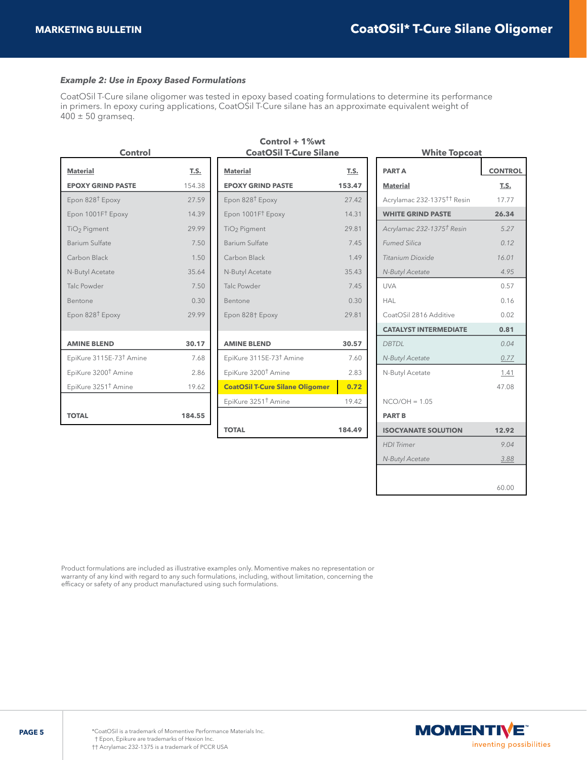#### *Example 2: Use in Epoxy Based Formulations*

CoatOSil T-Cure silane oligomer was tested in epoxy based coating formulations to determine its performance in primers. In epoxy curing applications, CoatOSil T-Cure silane has an approximate equivalent weight of  $400 \pm 50$  gramseq.

| Control                             |        |  |  |
|-------------------------------------|--------|--|--|
| <b>Material</b>                     | T.S.   |  |  |
| <b>EPOXY GRIND PASTE</b>            | 154.38 |  |  |
| Epon 828 <sup>†</sup> Epoxy         | 27.59  |  |  |
| Epon 1001F <sup>†</sup> Epoxy       | 1439   |  |  |
| TiO <sub>2</sub> Pigment            | 29.99  |  |  |
| Barium Sulfate                      | 7.50   |  |  |
| Carbon Black                        | 1.50   |  |  |
| N-Butyl Acetate                     | 35.64  |  |  |
| Talc Powder                         | 7.50   |  |  |
| Bentone                             | 0.30   |  |  |
| Epon 828 <sup>†</sup> Epoxy         | 29.99  |  |  |
|                                     |        |  |  |
| <b>AMINE BLEND</b>                  | 30.17  |  |  |
| EpiKure 3115E-73 <sup>†</sup> Amine | 7.68   |  |  |
| EpiKure 3200 <sup>†</sup> Amine     | 2.86   |  |  |
| EpiKure 3251 <sup>†</sup> Amine     | 19.62  |  |  |
|                                     |        |  |  |
| <b>TOTAL</b>                        | 184.55 |  |  |
|                                     |        |  |  |

#### **Control + 1%wt CoatOSil T-Cure Silane**

| <b>Material</b>                        | T.S.   |
|----------------------------------------|--------|
| <b>EPOXY GRIND PASTE</b>               | 153.47 |
| Epon 828 <sup>†</sup> Epoxy            | 2742   |
| Epon 1001F <sup>†</sup> Epoxy          | 14.31  |
| TiO <sub>2</sub> Pigment               | 29.81  |
| Barium Sulfate                         | 745    |
| Carbon Black                           | 149    |
| N-Butyl Acetate                        | 35.43  |
| Talc Powder                            | 745    |
| Bentone                                | 0.30   |
| Epon 828† Epoxy                        | 29.81  |
| <b>AMINE BLEND</b>                     | 30.57  |
| EpiKure 3115E-73 <sup>†</sup> Amine    | 7.60   |
| EpiKure 3200 <sup>†</sup> Amine        | 2.83   |
| <b>CoatOSil T-Cure Silane Oligomer</b> | 0.72   |
| EpiKure 3251 <sup>†</sup> Amine        | 19.42  |
| <b>TOTAL</b>                           | 184.49 |

| <b>White Topcoat</b>                   |                |  |  |
|----------------------------------------|----------------|--|--|
| <b>PARTA</b>                           | <b>CONTROL</b> |  |  |
| <b>Material</b>                        | T.S.           |  |  |
| Acrylamac 232-1375 <sup>††</sup> Resin | 17.77          |  |  |
| <b>WHITE GRIND PASTE</b>               | 26.34          |  |  |
| Acrylamac 232-1375 <sup>†</sup> Resin  | 5.27           |  |  |
| <b>Fumed Silica</b>                    | 012            |  |  |
| Titanium Dioxide                       | 16.01          |  |  |
| N-Butyl Acetate                        | 4.95           |  |  |
| UVA                                    | 0.57           |  |  |
| HAL                                    | 0.16           |  |  |
| CoatOSil 2816 Additive                 | 0.02           |  |  |
| <b>CATALYST INTERMEDIATE</b>           | 0.81           |  |  |
| <b>DBTDL</b>                           | 0.04           |  |  |
| N-Butyl Acetate                        | 0.77           |  |  |
| N-Butyl Acetate                        | 1.41           |  |  |
|                                        | 47.08          |  |  |
| $NCO/OH = 1.05$                        |                |  |  |
| <b>PART B</b>                          |                |  |  |
| <b>ISOCYANATE SOLUTION</b>             | 12.92          |  |  |
| <b>HDI</b> Trimer                      | 9.04           |  |  |
| N-Butyl Acetate                        | 3.88           |  |  |
|                                        |                |  |  |
|                                        | 60.00          |  |  |

Product formulations are included as illustrative examples only. Momentive makes no representation or warranty of any kind with regard to any such formulations, including, without limitation, concerning the efficacy or safety of any product manufactured using such formulations.

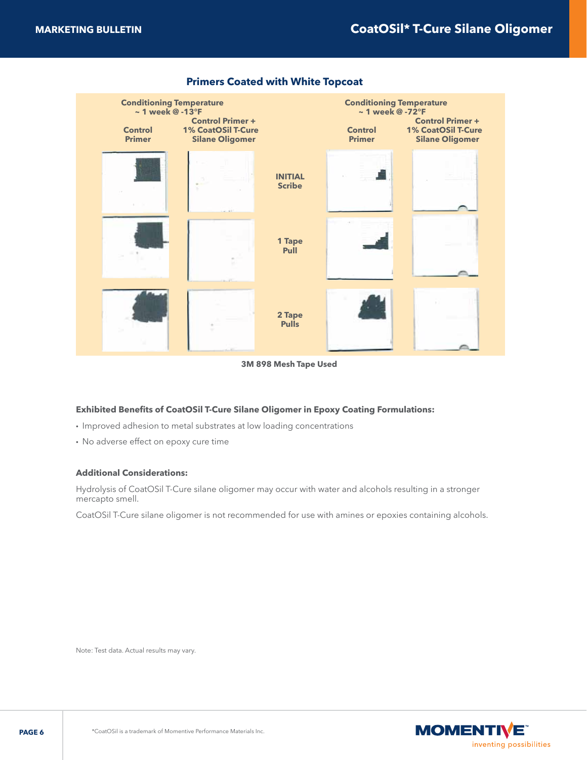

#### **Primers Coated with White Topcoat**

**3M 898 Mesh Tape Used**

#### **Exhibited Benefits of CoatOSil T-Cure Silane Oligomer in Epoxy Coating Formulations:**

- Improved adhesion to metal substrates at low loading concentrations
- No adverse effect on epoxy cure time

#### **Additional Considerations:**

Hydrolysis of CoatOSil T-Cure silane oligomer may occur with water and alcohols resulting in a stronger mercapto smell.

CoatOSil T-Cure silane oligomer is not recommended for use with amines or epoxies containing alcohols.

Note: Test data. Actual results may vary.

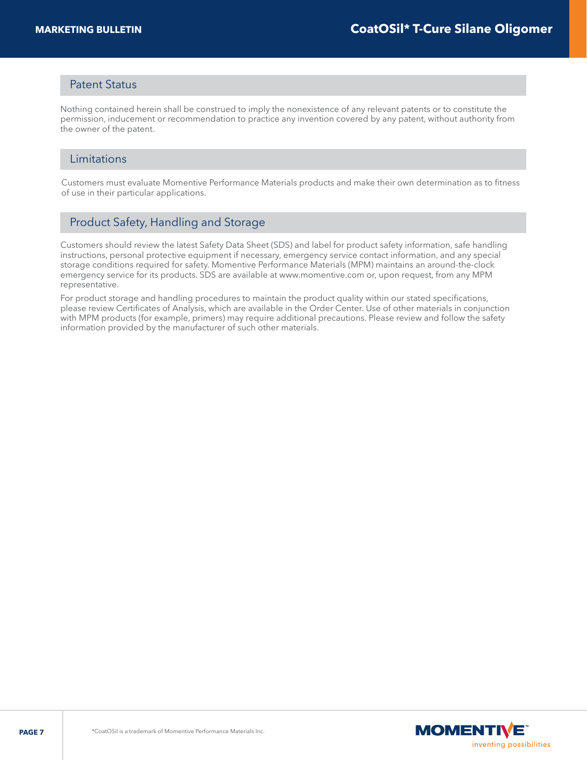### Patent Status

Nothing contained herein shall be construed to imply the nonexistence of any relevant patents or to constitute the permission, inducement or recommendation to practice any invention covered by any patent, without authority from the owner of the patent.

#### Limitations

Customers must evaluate Momentive Performance Materials products and make their own determination as to fitness of use in their particular applications.

# Product Safety, Handling and Storage

Customers should review the latest Safety Data Sheet (SDS) and label for product safety information, safe handling instructions, personal protective equipment if necessary, emergency service contact information, and any special storage conditions required for safety. Momentive Performance Materials (MPM) maintains an around-the-clock emergency service for its products. SDS are available at www.momentive.com or, upon request, from any MPM representative.

For product storage and handling procedures to maintain the product quality within our stated specifications, please review Certificates of Analysis, which are available in the Order Center. Use of other materials in conjunction with MPM products (for example, primers) may require additional precautions. Please review and follow the safety information provided by the manufacturer of such other materials.